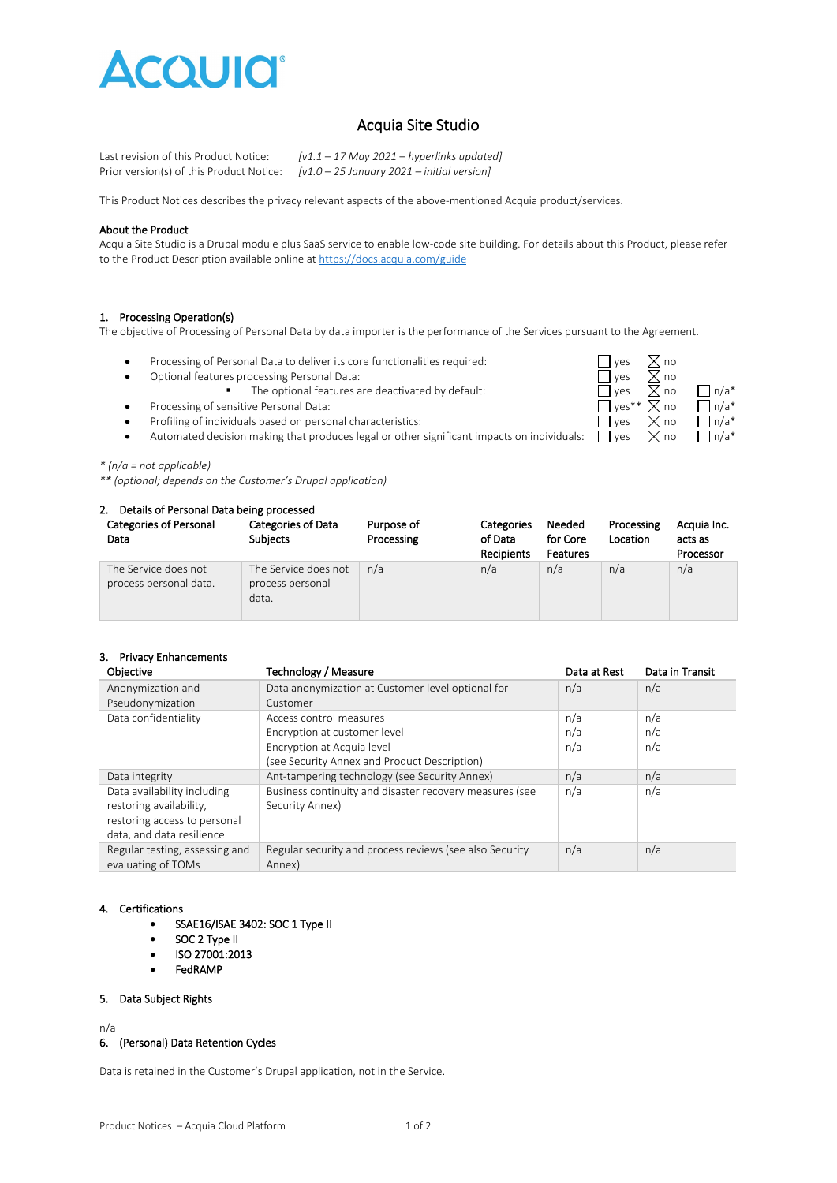

# Acquia Site Studio

Last revision of this Product Notice: *[v1.1 – 17 May 2021 – hyperlinks updated]* Prior version(s) of this Product Notice: *[v1.0 – 25 January 2021 – initial version]*

This Product Notices describes the privacy relevant aspects of the above-mentioned Acquia product/services.

#### About the Product

Acquia Site Studio is a Drupal module plus SaaS service to enable low-code site building. For details about this Product, please refer to the Product Description available online a[t https://docs.acquia.com/guide](https://docs.acquia.com/guide)

#### 1. Processing Operation(s)

The objective of Processing of Personal Data by data importer is the performance of the Services pursuant to the Agreement.

- Processing of Personal Data to deliver its core functionalities required:  $\Box$  yes  $\boxtimes$  no<br>• Optional features processing Personal Data:  $\Box$  yes  $\boxtimes$  no
- 
- Optional features processing Personal Data:<br>The optional features are deactivated by default:<br> $\Box$  yes  $\Box$  no The optional features are deactivated by default:  $\Box$  yes  $\Box$  no  $\Box$  n/a\*
- Processing of sensitive Personal Data:  $\Box$  yes\*\*  $\Box$  yes\*\*  $\Box$  no  $\Box$  n/a\*
- Profiling of individuals based on personal characteristics:  $\Box$  yes  $\Box$  and  $\Box$  n/a\*



#### *\* (n/a = not applicable)*

*\*\* (optional; depends on the Customer's Drupal application)*

#### 2. Details of Personal Data being processed

| <b>Categories of Personal</b><br>Data          | <b>Categories of Data</b><br><b>Subjects</b>      | Purpose of<br>Processing | <b>Categories</b><br>of Data<br><b>Recipients</b> | Needed<br>for Core<br>Features | Processing<br>Location | Acquia Inc.<br>acts as<br>Processor |
|------------------------------------------------|---------------------------------------------------|--------------------------|---------------------------------------------------|--------------------------------|------------------------|-------------------------------------|
| The Service does not<br>process personal data. | The Service does not<br>process personal<br>data. | n/a                      | n/a                                               | n/a                            | n/a                    | n/a                                 |

### 3. Privacy Enhancements

| Objective                      | Technology / Measure                                    | Data at Rest | Data in Transit |
|--------------------------------|---------------------------------------------------------|--------------|-----------------|
| Anonymization and              | Data anonymization at Customer level optional for       | n/a          | n/a             |
| Pseudonymization               | Customer                                                |              |                 |
| Data confidentiality           | Access control measures                                 | n/a          | n/a             |
|                                | Encryption at customer level                            | n/a          | n/a             |
|                                | Encryption at Acquia level                              | n/a          | n/a             |
|                                | (see Security Annex and Product Description)            |              |                 |
| Data integrity                 | Ant-tampering technology (see Security Annex)           | n/a          | n/a             |
| Data availability including    | Business continuity and disaster recovery measures (see | n/a          | n/a             |
| restoring availability,        | Security Annex)                                         |              |                 |
| restoring access to personal   |                                                         |              |                 |
| data, and data resilience      |                                                         |              |                 |
| Regular testing, assessing and | Regular security and process reviews (see also Security | n/a          | n/a             |
| evaluating of TOMs             | Annex)                                                  |              |                 |

### 4. Certifications

- SSAE16/ISAE 3402: SOC 1 Type II
- SOC 2 Type II
- ISO 27001:2013
- FedRAMP

#### 5. Data Subject Rights

n/a

#### 6. (Personal) Data Retention Cycles

Data is retained in the Customer's Drupal application, not in the Service.

| leeded  | Processing | Aca  |
|---------|------------|------|
| or Core | Location   | acts |